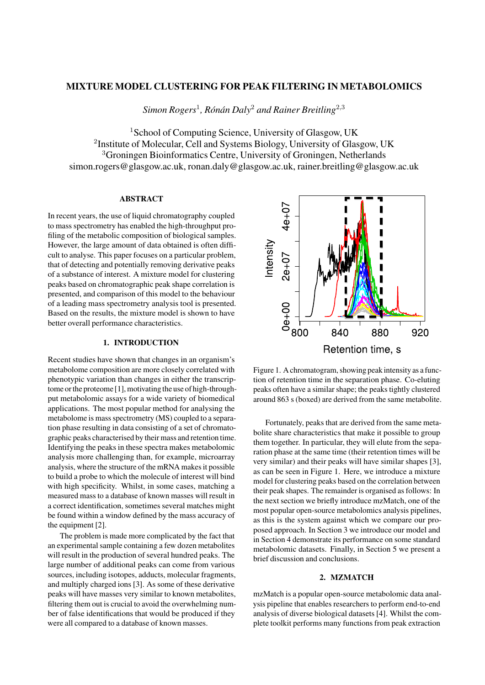# MIXTURE MODEL CLUSTERING FOR PEAK FILTERING IN METABOLOMICS

*Simon Rogers*<sup>1</sup> *, Ron´ an Daly ´* <sup>2</sup> *and Rainer Breitling*<sup>2</sup>,<sup>3</sup>

<sup>1</sup>School of Computing Science, University of Glasgow, UK <sup>2</sup>Institute of Molecular, Cell and Systems Biology, University of Glasgow, UK <sup>3</sup>Groningen Bioinformatics Centre, University of Groningen, Netherlands simon.rogers@glasgow.ac.uk, ronan.daly@glasgow.ac.uk, rainer.breitling@glasgow.ac.uk

### ABSTRACT

In recent years, the use of liquid chromatography coupled to mass spectrometry has enabled the high-throughput profiling of the metabolic composition of biological samples. However, the large amount of data obtained is often difficult to analyse. This paper focuses on a particular problem, that of detecting and potentially removing derivative peaks of a substance of interest. A mixture model for clustering peaks based on chromatographic peak shape correlation is presented, and comparison of this model to the behaviour of a leading mass spectrometry analysis tool is presented. Based on the results, the mixture model is shown to have better overall performance characteristics.

# 1. INTRODUCTION

Recent studies have shown that changes in an organism's metabolome composition are more closely correlated with phenotypic variation than changes in either the transcriptome or the proteome [1], motivating the use of high-throughput metabolomic assays for a wide variety of biomedical applications. The most popular method for analysing the metabolome is mass spectrometry (MS) coupled to a separation phase resulting in data consisting of a set of chromatographic peaks characterised by their mass and retention time. Identifying the peaks in these spectra makes metabolomic analysis more challenging than, for example, microarray analysis, where the structure of the mRNA makes it possible to build a probe to which the molecule of interest will bind with high specificity. Whilst, in some cases, matching a measured mass to a database of known masses will result in a correct identification, sometimes several matches might be found within a window defined by the mass accuracy of the equipment [2].

The problem is made more complicated by the fact that an experimental sample containing a few dozen metabolites will result in the production of several hundred peaks. The large number of additional peaks can come from various sources, including isotopes, adducts, molecular fragments, and multiply charged ions [3]. As some of these derivative peaks will have masses very similar to known metabolites, filtering them out is crucial to avoid the overwhelming number of false identifications that would be produced if they were all compared to a database of known masses.



Figure 1. A chromatogram, showing peak intensity as a function of retention time in the separation phase. Co-eluting peaks often have a similar shape; the peaks tightly clustered around 863 s (boxed) are derived from the same metabolite.

Fortunately, peaks that are derived from the same metabolite share characteristics that make it possible to group them together. In particular, they will elute from the separation phase at the same time (their retention times will be very similar) and their peaks will have similar shapes [3], as can be seen in Figure 1. Here, we introduce a mixture model for clustering peaks based on the correlation between their peak shapes. The remainder is organised as follows: In the next section we briefly introduce mzMatch, one of the most popular open-source metabolomics analysis pipelines, as this is the system against which we compare our proposed approach. In Section 3 we introduce our model and in Section 4 demonstrate its performance on some standard metabolomic datasets. Finally, in Section 5 we present a brief discussion and conclusions.

#### 2. MZMATCH

mzMatch is a popular open-source metabolomic data analysis pipeline that enables researchers to perform end-to-end analysis of diverse biological datasets [4]. Whilst the complete toolkit performs many functions from peak extraction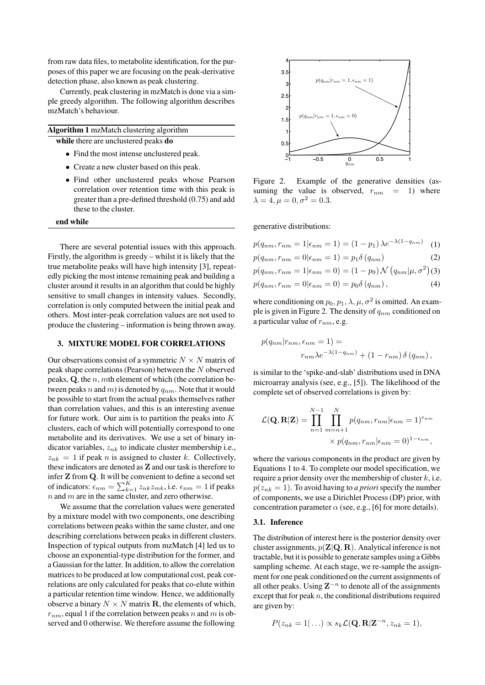from raw data files, to metabolite identification, for the purposes of this paper we are focusing on the peak-derivative detection phase, also known as peak clustering.

Currently, peak clustering in mzMatch is done via a simple greedy algorithm. The following algorithm describes mzMatch's behaviour.

Algorithm 1 mzMatch clustering algorithm while there are unclustered peaks **do** 

- Find the most intense unclustered peak.
- Create a new cluster based on this peak.
- Find other unclustered peaks whose Pearson correlation over retention time with this peak is greater than a pre-defined threshold (0.75) and add these to the cluster.

#### end while

There are several potential issues with this approach. Firstly, the algorithm is greedy – whilst it is likely that the true metabolite peaks will have high intensity [3], repeatedly picking the most intense remaining peak and building a cluster around it results in an algorithm that could be highly sensitive to small changes in intensity values. Secondly, correlation is only computed between the initial peak and others. Most inter-peak correlation values are not used to produce the clustering – information is being thrown away.

### 3. MIXTURE MODEL FOR CORRELATIONS

Our observations consist of a symmetric  $N \times N$  matrix of peak shape correlations (Pearson) between the N observed peaks,  $Q$ , the  $n$ ,  $m$ th element of which (the correlation between peaks n and m) is denoted by  $q_{nm}$ . Note that it would be possible to start from the actual peaks themselves rather than correlation values, and this is an interesting avenue for future work. Our aim is to partition the peaks into  $K$ clusters, each of which will potentially correspond to one metabolite and its derivatives. We use a set of binary indicator variables,  $z_{nk}$  to indicate cluster membership i.e.,  $z_{nk} = 1$  if peak *n* is assigned to cluster *k*. Collectively, these indicators are denoted as Z and our task is therefore to infer Z from Q. It will be convenient to define a second set of indicators:  $\epsilon_{nm} = \sum_{k=1}^{K} z_{nk} z_{mk}$ , i.e.  $\epsilon_{nm} = 1$  if peaks  $n$  and  $m$  are in the same cluster, and zero otherwise.

We assume that the correlation values were generated by a mixture model with two components, one describing correlations between peaks within the same cluster, and one describing correlations between peaks in different clusters. Inspection of typical outputs from mzMatch [4] led us to choose an exponential-type distribution for the former, and a Gaussian for the latter. In addition, to allow the correlation matrices to be produced at low computational cost, peak correlations are only calculated for peaks that co-elute within a particular retention time window. Hence, we additionally observe a binary  $N \times N$  matrix **R**, the elements of which,  $r_{nm}$ , equal 1 if the correlation between peaks n and m is observed and 0 otherwise. We therefore assume the following



Figure 2. Example of the generative densities (assuming the value is observed,  $r_{nm} = 1$ ) where  $\lambda = 4, \mu = 0, \sigma^2 = 0.3.$ 

generative distributions:

 $p(q_{nm}, r_{nm} = 1 | \epsilon_{nm} = 1) = (1 - p_1) \lambda e^{-\lambda(1 - q_{nm})}$ (1)  $p(q_{nm}, r_{nm} = 0 | \epsilon_{nm} = 1) = p_1 \delta(q_{nm})$  (2)  $p(q_{nm}, r_{nm} = 1 | \epsilon_{nm} = 0) = (1 - p_0) \mathcal{N}(q_{nm} | \mu, \sigma^2)$ (3)  $p(q_{nm}, r_{nm} = 0 | \epsilon_{nm} = 0) = p_0 \delta(q_{nm}),$  (4)

where conditioning on  $p_0, p_1, \lambda, \mu, \sigma^2$  is omitted. An example is given in Figure 2. The density of  $q_{nm}$  conditioned on a particular value of  $r_{nm}$ , e.g.

$$
p(q_{nm}|r_{nm}, \epsilon_{nm} = 1) =
$$
  

$$
r_{nm} \lambda e^{-\lambda(1 - q_{nm})} + (1 - r_{nm}) \delta(q_{nm}),
$$

is similar to the 'spike-and-slab' distributions used in DNA microarray analysis (see, e.g., [5]). The likelihood of the complete set of observed correlations is given by:

$$
\mathcal{L}(\mathbf{Q}, \mathbf{R}|\mathbf{Z}) = \prod_{n=1}^{N-1} \prod_{m=n+1}^{N} p(q_{nm}, r_{nm}|\epsilon_{nm} = 1)^{\epsilon_{nm}}
$$

$$
\times p(q_{nm}, r_{nm}|\epsilon_{nm} = 0)^{1-\epsilon_{nm}},
$$

where the various components in the product are given by Equations 1 to 4. To complete our model specification, we require a prior density over the membership of cluster  $k$ , i.e.  $p(z_{nk} = 1)$ . To avoid having to *a priori* specify the number of components, we use a Dirichlet Process (DP) prior, with concentration parameter  $\alpha$  (see, e.g., [6] for more details).

#### 3.1. Inference

The distribution of interest here is the posterior density over cluster assignments,  $p(\mathbf{Z}|\mathbf{Q}, \mathbf{R})$ . Analytical inference is not tractable, but it is possible to generate samples using a Gibbs sampling scheme. At each stage, we re-sample the assignment for one peak conditioned on the current assignments of all other peaks. Using  $\mathbf{Z}^{-n}$  to denote all of the assignments except that for peak  $n$ , the conditional distributions required are given by:

$$
P(z_{nk}=1|\ldots) \propto s_k \mathcal{L}(\mathbf{Q},\mathbf{R}|\mathbf{Z}^{-n},z_{nk}=1),
$$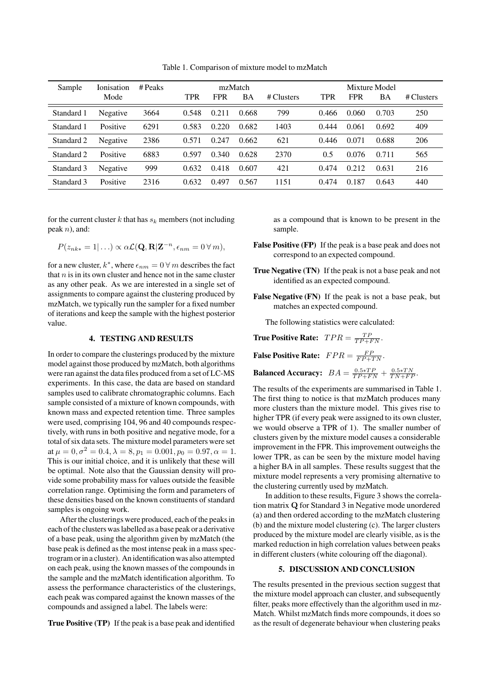| Sample     | Ionisation<br>Mode | # Peaks | <b>TPR</b> | <b>FPR</b> | mzMatch<br>BA | # Clusters | TPR   | <b>FPR</b> | Mixture Model<br>BA | # Clusters |
|------------|--------------------|---------|------------|------------|---------------|------------|-------|------------|---------------------|------------|
| Standard 1 | Negative           | 3664    | 0.548      | 0.211      | 0.668         | 799        | 0.466 | 0.060      | 0.703               | 250        |
| Standard 1 | Positive           | 6291    | 0.583      | 0.220      | 0.682         | 1403       | 0.444 | 0.061      | 0.692               | 409        |
| Standard 2 | Negative           | 2386    | 0.571      | 0.247      | 0.662         | 621        | 0.446 | 0.071      | 0.688               | 206        |
| Standard 2 | Positive           | 6883    | 0.597      | 0.340      | 0.628         | 2370       | 0.5   | 0.076      | 0.711               | 565        |
| Standard 3 | Negative           | 999     | 0.632      | 0.418      | 0.607         | 421        | 0.474 | 0.212      | 0.631               | 216        |
| Standard 3 | Positive           | 2316    | 0.632      | 0.497      | 0.567         | 1151       | 0.474 | 0.187      | 0.643               | 440        |

Table 1. Comparison of mixture model to mzMatch

for the current cluster k that has  $s_k$  members (not including peak n), and:

$$
P(z_{nk*} = 1 | ...) \propto \alpha \mathcal{L}(\mathbf{Q}, \mathbf{R} | \mathbf{Z}^{-n}, \epsilon_{nm} = 0 \,\forall \, m),
$$

for a new cluster,  $k^*$ , where  $\epsilon_{nm} = 0 \,\forall \, m$  describes the fact that  $n$  is in its own cluster and hence not in the same cluster as any other peak. As we are interested in a single set of assignments to compare against the clustering produced by mzMatch, we typically run the sampler for a fixed number of iterations and keep the sample with the highest posterior value.

### 4. TESTING AND RESULTS

In order to compare the clusterings produced by the mixture model against those produced by mzMatch, both algorithms were ran against the data files produced from a set of LC-MS experiments. In this case, the data are based on standard samples used to calibrate chromatographic columns. Each sample consisted of a mixture of known compounds, with known mass and expected retention time. Three samples were used, comprising 104, 96 and 40 compounds respectively, with runs in both positive and negative mode, for a total of six data sets. The mixture model parameters were set at  $\mu = 0, \sigma^2 = 0.4, \lambda = 8, p_1 = 0.001, p_0 = 0.97, \alpha = 1.$ This is our initial choice, and it is unlikely that these will be optimal. Note also that the Gaussian density will provide some probability mass for values outside the feasible correlation range. Optimising the form and parameters of these densities based on the known constituents of standard samples is ongoing work.

After the clusterings were produced, each of the peaks in each of the clusters was labelled as a base peak or a derivative of a base peak, using the algorithm given by mzMatch (the base peak is defined as the most intense peak in a mass spectrogram or in a cluster). An identification was also attempted on each peak, using the known masses of the compounds in the sample and the mzMatch identification algorithm. To assess the performance characteristics of the clusterings, each peak was compared against the known masses of the compounds and assigned a label. The labels were:

True Positive (TP) If the peak is a base peak and identified

as a compound that is known to be present in the sample.

- False Positive (FP) If the peak is a base peak and does not correspond to an expected compound.
- True Negative (TN) If the peak is not a base peak and not identified as an expected compound.
- False Negative (FN) If the peak is not a base peak, but matches an expected compound.

The following statistics were calculated:

**True Positive Rate:**  $TPR = \frac{TP}{TP + FN}$ .

**False Positive Rate:**  $FPR = \frac{FP}{FP + TN}$ .

**Balanced Accuracy:** 
$$
BA = \frac{0.5*TP}{TP+FN} + \frac{0.5*TN}{TN+FP}
$$
.

The results of the experiments are summarised in Table 1. The first thing to notice is that mzMatch produces many more clusters than the mixture model. This gives rise to higher TPR (if every peak were assigned to its own cluster, we would observe a TPR of 1). The smaller number of clusters given by the mixture model causes a considerable improvement in the FPR. This improvement outweighs the lower TPR, as can be seen by the mixture model having a higher BA in all samples. These results suggest that the mixture model represents a very promising alternative to the clustering currently used by mzMatch.

In addition to these results, Figure 3 shows the correlation matrix Q for Standard 3 in Negative mode unordered (a) and then ordered according to the mzMatch clustering (b) and the mixture model clustering (c). The larger clusters produced by the mixture model are clearly visible, as is the marked reduction in high correlation values between peaks in different clusters (white colouring off the diagonal).

# 5. DISCUSSION AND CONCLUSION

The results presented in the previous section suggest that the mixture model approach can cluster, and subsequently filter, peaks more effectively than the algorithm used in mz-Match. Whilst mzMatch finds more compounds, it does so as the result of degenerate behaviour when clustering peaks